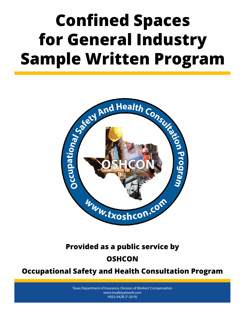# **Confined Spaces for General Industry Sample Written Program**



# **Provided as a public service by OSHCON**

**Occupational Safety and Health Consultation Program**

Texas Department of Insurance, Division of Workers' Compensation www.txsafetyatwork.com HS02-042B (7-2019)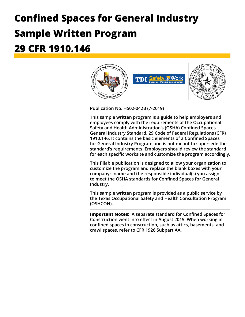# **Confined Spaces for General Industry Sample Written Program**

# **29 CFR 1910.146**



**Publication No. HS02-042B (7-2019)** 

**This sample written program is a guide to help employers and employees comply with the requirements of the Occupational Safety and Health Administration's (OSHA) Confined Spaces General Industry Standard, 29 Code of Federal Regulations (CFR) 1910.146. It contains the basic elements of a Confined Spaces for General Industry Program and is not meant to supersede the standard's requirements. Employers should review the standard for each specific worksite and customize the program accordingly.** 

**This fillable publication is designed to allow your organization to customize the program and replace the blank boxes with your company's name and the responsible individual(s) you assign to meet the OSHA standards for Confined Spaces for General Industry.** 

**This sample written program is provided as a public service by the Texas Occupational Safety and Health Consultation Program (OSHCON).** 

**Important Notes: A separate standard for Confined Spaces for Construction went into effect in August 2015. When working in confined spaces in construction, such as attics, basements, and crawl spaces, refer to CFR 1926 Subpart AA.**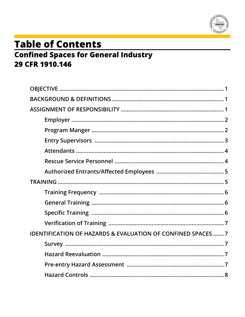

# **Table of Contents**

# **Confined Spaces for General Industry** 29 CFR 1910.146

| <b>IDENTIFICATION OF HAZARDS &amp; EVALUATION OF CONFINED SPACES  7</b> |
|-------------------------------------------------------------------------|
|                                                                         |
|                                                                         |
|                                                                         |
|                                                                         |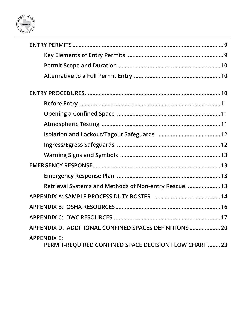

| Retrieval Systems and Methods of Non-entry Rescue  13                        |
|------------------------------------------------------------------------------|
|                                                                              |
|                                                                              |
| <b>APPENDIX C: DWC RESOURCES</b><br>17                                       |
| APPENDIX D: ADDITIONAL CONFINED SPACES DEFINITIONS<br><b>20</b>              |
| <b>APPENDIX E:</b><br>PERMIT-REQUIRED CONFINED SPACE DECISION FLOW CHART  23 |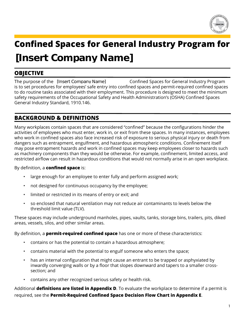

# <span id="page-4-0"></span>**Confined Spaces for General Industry Program for [Insert Company Name]**

# **OBJECTIVE**

The purpose of the Insert Company Name **charge Confined Spaces for General Industry Program** is to set procedures for employees' safe entry into confined spaces and permit-required confined spaces to do routine tasks associated with their employment. This procedure is designed to meet the minimum safety requirements of the Occupational Safety and Health Administration's (OSHA) Confined Spaces General Industry Standard, 1910.146.

# **BACKGROUND & DEFINITIONS**

Many workplaces contain spaces that are considered "confined" because the configurations hinder the activities of employees who must enter, work in, or exit from these spaces. In many instances, employees who work in confined spaces also face increased risk of exposure to serious physical injury or death from dangers such as entrapment, engulfment, and hazardous atmospheric conditions. Confinement itself may pose entrapment hazards and work in confined spaces may keep employees closer to hazards such as machinery components than they would be otherwise. For example, confinement, limited access, and restricted airflow can result in hazardous conditions that would not normally arise in an open workplace.

#### By definition, a **confined space** is:

- large enough for an employee to enter fully and perform assigned work;
- not designed for continuous occupancy by the employee;
- limited or restricted in its means of entry or exit; and
- so enclosed that natural ventilation may not reduce air contaminants to levels below the threshold limit value (TLV).

These spaces may include underground manholes, pipes, vaults, tanks, storage bins, trailers, pits, diked areas, vessels, silos, and other similar areas.

By definition, a **permit-required confined space** has one or more of these characteristics:

- contains or has the potential to contain a hazardous atmosphere;
- contains material with the potential to engulf someone who enters the space;
- has an internal configuration that might cause an entrant to be trapped or asphyxiated by inwardly converging walls or by a floor that slopes downward and tapers to a smaller crosssection; and
- contains any other recognized serious safety or health risk.

Additional **definitions are listed in Appendix D**. To evaluate the workplace to determine if a permit is required, see the **Permit-Required Confined Space Decision Flow Chart in Appendix E**.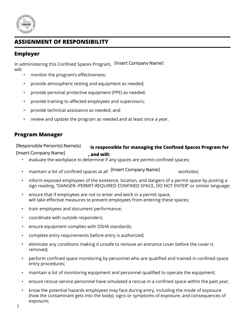<span id="page-5-0"></span>

# **ASSIGNMENT OF RESPONSIBILITY**

#### **Employer**

In administering this Confined Spaces Program, [Insert Company Name] will:

- monitor the program's effectiveness;
- provide atmospheric testing and equipment as needed;
- provide personal protective equipment (PPE) as needed;
- provide training to affected employees and supervisors;
- provide technical assistance as needed; and
- review and update the program as needed and at least once a year.

#### **Program Manager**

 **is responsible for managing the Confined Spaces Program for , and will:** Fresponsible Person(s) Name(s) **is responsible for managing the Confined Spaces**<br>
[Insert Company Name] **and will:**<br>
• evaluate the workplace to determine if any spaces are permit-confined spaces;<br>
• maintain a list of con [Insert Company Name]

- evaluate the workplace to determine if any spaces are permit-confined spaces;
- 
- inform exposed employees of the existence, location, and dangers of a permit space by posting a sign reading, "DANGER--PERMIT-REQUIRED CONFINED SPACE, DO NOT ENTER" or similar language;
- ensure that if employees are not to enter and work in a permit space, will take effective measures to prevent employees from entering these spaces;
- train employees and document performance;
- coordinate with outside responders;
- ensure equipment complies with OSHA standards;
- complete entry requirements before entry is authorized;
- eliminate any conditions making it unsafe to remove an entrance cover before the cover is removed;
- perform confined space monitoring by personnel who are qualified and trained in confined space entry procedures;
- maintain a list of monitoring equipment and personnel qualified to operate the equipment;
- ensure rescue service personnel have simulated a rescue in a confined space within the past year;
- know the potential hazards employees may face during entry, including the mode of exposure (how the contaminant gets into the body), signs or symptoms of exposure, and consequences of exposure;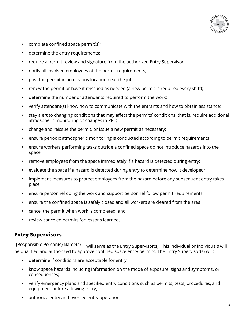

- <span id="page-6-0"></span>• complete confined space permit(s);
- determine the entry requirements;
- require a permit review and signature from the authorized Entry Supervisor;
- notify all involved employees of the permit requirements;
- post the permit in an obvious location near the job;
- renew the permit or have it reissued as needed (a new permit is required every shift);
- determine the number of attendants required to perform the work;
- verify attendant(s) know how to communicate with the entrants and how to obtain assistance;
- stay alert to changing conditions that may affect the permits' conditions, that is, require additional atmospheric monitoring or changes in PPE;
- change and reissue the permit, or issue a new permit as necessary;
- ensure periodic atmospheric monitoring is conducted according to permit requirements;
- ensure workers performing tasks outside a confined space do not introduce hazards into the space;
- remove employees from the space immediately if a hazard is detected during entry;
- evaluate the space if a hazard is detected during entry to determine how it developed;
- implement measures to protect employees from the hazard before any subsequent entry takes place
- ensure personnel doing the work and support personnel follow permit requirements;
- ensure the confined space is safely closed and all workers are cleared from the area;
- cancel the permit when work is completed; and
- review canceled permits for lessons learned.

#### **Entry Supervisors**

 will serve as the Entry Supervisor(s). This individual or individuals will be qualified and authorized to approve confined space entry permits. The Entry Supervisor(s) will: [Responsible Person(s) Name(s)

- determine if conditions are acceptable for entry;
- know space hazards including information on the mode of exposure, signs and symptoms, or consequences;
- verify emergency plans and specified entry conditions such as permits, tests, procedures, and equipment before allowing entry;
- authorize entry and oversee entry operations;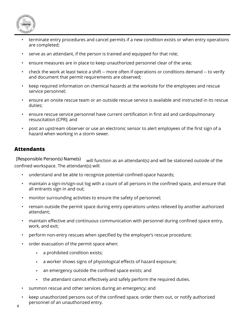<span id="page-7-0"></span>

- terminate entry procedures and cancel permits if a new condition exists or when entry operations are completed;
- serve as an attendant, if the person is trained and equipped for that role;
- ensure measures are in place to keep unauthorized personnel clear of the area;
- check the work at least twice a shift -- more often if operations or conditions demand -- to verify and document that permit requirements are observed;
- keep required information on chemical hazards at the worksite for the employees and rescue service personnel;
- ensure an onsite rescue team or an outside rescue service is available and instructed in its rescue duties;
- ensure rescue service personnel have current certification in first aid and cardiopulmonary resuscitation (CPR); and
- post an upstream observer or use an electronic sensor to alert employees of the first sign of a hazard when working in a storm sewer.

### **Attendants**

 will function as an attendant(s) and will be stationed outside of the confined workspace. The attendant(s) will: [Responsible Person(s) Name(s)

- understand and be able to recognize potential confined-space hazards;
- maintain a sign-in/sign-out log with a count of all persons in the confined space, and ensure that all entrants sign in and out;
- monitor surrounding activities to ensure the safety of personnel;
- remain outside the permit space during entry operations unless relieved by another authorized attendant;
- maintain effective and continuous communication with personnel during confined space entry, work, and exit;
- perform non-entry rescues when specified by the employer's rescue procedure;
- order evacuation of the permit space when:
	- **-** a prohibited condition exists;
	- **-** a worker shows signs of physiological effects of hazard exposure;
	- **-** an emergency outside the confined space exists; and
	- **-** the attendant cannot effectively and safely perform the required duties.
- summon rescue and other services during an emergency; and
- keep unauthorized persons out of the confined space, order them out, or notify authorized  $\mu$  personnel of an unauthorized entry.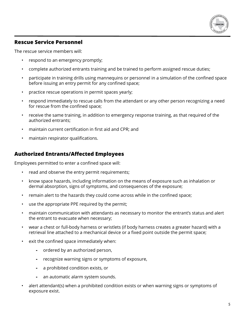

#### <span id="page-8-0"></span>**Rescue Service Personnel**

The rescue service members will:

- respond to an emergency promptly;
- complete authorized entrants training and be trained to perform assigned rescue duties;
- participate in training drills using mannequins or personnel in a simulation of the confined space before issuing an entry permit for any confined space;
- practice rescue operations in permit spaces yearly;
- respond immediately to rescue calls from the attendant or any other person recognizing a need for rescue from the confined space;
- receive the same training, in addition to emergency response training, as that required of the authorized entrants;
- maintain current certification in first aid and CPR; and
- maintain respirator qualifications.

#### **Authorized Entrants/Affected Employees**

Employees permitted to enter a confined space will:

- read and observe the entry permit requirements;
- know space hazards, including information on the means of exposure such as inhalation or dermal absorption, signs of symptoms, and consequences of the exposure;
- remain alert to the hazards they could come across while in the confined space;
- use the appropriate PPE required by the permit;
- maintain communication with attendants as necessary to monitor the entrant's status and alert the entrant to evacuate when necessary;
- wear a chest or full-body harness or wristlets (if body harness creates a greater hazard) with a retrieval line attached to a mechanical device or a fixed point outside the permit space;
- exit the confined space immediately when:
	- **-** ordered by an authorized person,
	- **-** recognize warning signs or symptoms of exposure,
	- **-** a prohibited condition exists, or
	- **-** an automatic alarm system sounds.
- alert attendant(s) when a prohibited condition exists or when warning signs or symptoms of exposure exist.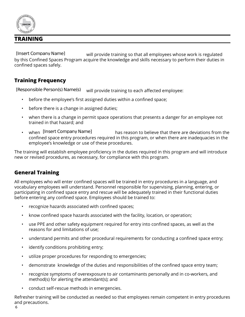<span id="page-9-0"></span>

## **TRAINING**

will provide training so that all employees whose work is regulated by this Confined Spaces Program acquire the knowledge and skills necessary to perform their duties in confined spaces safely. [Insert Company Name]

### **Training Frequency**

will provide training to each affected employee: [Responsible Person(s) Name(s)

- before the employee's first assigned duties within a confined space;
- before there is a change in assigned duties;
- when there is a change in permit space operations that presents a danger for an employee not trained in that hazard; and
- has reason to believe that there are deviations from the confined space entry procedures required in this program, or when there are inadequacies in the employee's knowledge or use of these procedures. when [Insert Company Name]

The training will establish employee proficiency in the duties required in this program and will introduce new or revised procedures, as necessary, for compliance with this program.

#### **General Training**

All employees who will enter confined spaces will be trained in entry procedures in a language, and vocabulary employees will understand. Personnel responsible for supervising, planning, entering, or participating in confined space entry and rescue will be adequately trained in their functional duties before entering any confined space. Employees should be trained to:

- recognize hazards associated with confined spaces;
- know confined space hazards associated with the facility, location, or operation;
- use PPE and other safety equipment required for entry into confined spaces, as well as the reasons for and limitations of use;
- understand permits and other procedural requirements for conducting a confined space entry;
- identify conditions prohibiting entry;
- utilize proper procedures for responding to emergencies;
- demonstrate knowledge of the duties and responsibilities of the confined space entry team;
- recognize symptoms of overexposure to air contaminants personally and in co-workers, and method(s) for alerting the attendant(s); and
- conduct self-rescue methods in emergencies.

Refresher training will be conducted as needed so that employees remain competent in entry procedures and precautions.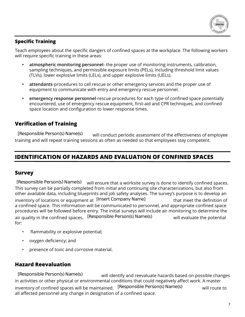

# <span id="page-10-0"></span>**Specific Training**

Teach employees about the specific dangers of confined spaces at the workplace. The following workers will require specific training in these areas:

- **atmospheric monitoring personnel** the proper use of monitoring instruments, calibration, sampling techniques, and permissible exposure limits (PELs), including threshold limit values (TLVs), lower explosive limits (LELs), and upper explosive limits (UELs).
- **attendants**-procedures to call rescue or other emergency services and the proper use of equipment to communicate with entry and emergency rescue personnel.
- **emergency response personnel**-rescue procedures for each type of confined space potentially encountered, use of emergency rescue equipment, first-aid and CPR techniques, and confined space location and configuration to lower response times.

# **Verification of Training**

 will conduct periodic assessment of the effectiveness of employee training and will repeat training sessions as often as needed so that employees stay competent. [Responsible Person(s) Name(s)

# **IDENTIFICATION OF HAZARDS AND EVALUATION OF CONFINED SPACES**

#### **Survey**

will ensure that a worksite survey is done to identify confined spaces. This survey can be partially completed from initial and continuing site characterizations, but also from other available data, including blueprints and job safety analyses. The survey's purpose is to develop an inventory of locations or equipment at lnsert Company Namel that meet the definition of a confined space. This information will be communicated to personnel, and appropriate confined space procedures will be followed before entry. The initial surveys will include air monitoring to determine the will evaluate the potential for: air quality in the confined spaces. [Responsible Person(s) Name(s) that meet the definition of [Responsible Person(s) Name(s)

- flammability or explosive potential;
- oxygen deficiency; and
- presence of toxic and corrosive material.

# **Hazard Reevaluation**

will identify and reevaluate hazards based on possible changes in activities or other physical or environmental conditions that could negatively affect work. A master inventory of confined spaces will be maintained. [Responsible Person(s) Name(s) will route to all affected personnel any change in designation of a confined space. [Responsible Person(s) Name(s)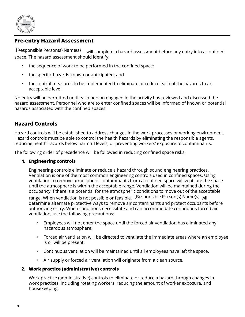<span id="page-11-0"></span>

#### **Pre-entry Hazard Assessment**

will complete a hazard assessment before any entry into a confined space. The hazard assessment should identify: [Responsible Person(s) Name(s)

- the sequence of work to be performed in the confined space;
- the specific hazards known or anticipated; and
- the control measures to be implemented to eliminate or reduce each of the hazards to an acceptable level.

No entry will be permitted until each person engaged in the activity has reviewed and discussed the hazard assessment. Personnel who are to enter confined spaces will be informed of known or potential hazards associated with the confined spaces.

#### **Hazard Controls**

Hazard controls will be established to address changes in the work processes or working environment. Hazard controls must be able to control the health hazards by eliminating the responsible agents, reducing health hazards below harmful levels, or preventing workers' exposure to contaminants.

The following order of precedence will be followed in reducing confined space risks.

#### **1. Engineering controls**

Engineering controls eliminate or reduce a hazard through sound engineering practices. Ventilation is one of the most common engineering controls used in confined spaces. Using ventilation to remove atmospheric contaminants from a confined space will ventilate the space until the atmosphere is within the acceptable range. Ventilation will be maintained during the occupancy if there is a potential for the atmospheric conditions to move out of the acceptable

range. When ventilation is not possible or feasible, [Responsible Person(s) Name(s) will determine alternate protective ways to remove air contaminants and protect occupants before authorizing entry. When conditions necessitate and can accommodate continuous forced air ventilation, use the following precautions:

- Employees will not enter the space until the forced air ventilation has eliminated any hazardous atmosphere;
- Forced air ventilation will be directed to ventilate the immediate areas where an employee is or will be present.
- Continuous ventilation will be maintained until all employees have left the space.
- Air supply or forced air ventilation will originate from a clean source.

#### **2. Work practice (administrative) controls**

Work practice (administrative) controls to eliminate or reduce a hazard through changes in work practices, including rotating workers, reducing the amount of worker exposure, and housekeeping.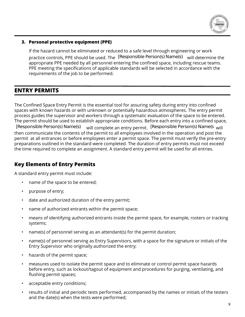

#### <span id="page-12-0"></span>**3. Personal protective equipment (PPE)**

practice controls, PPE should be used. The <sup>[Responsible Person(s) Name(s) will determine the</sup> If the hazard cannot be eliminated or reduced to a safe level through engineering or work requirements of the job to be performed. PPE meeting the specifications of applicable standards will be selected in accordance with the appropriate PPE needed by all personnel entering the confined space, including rescue teams.

# **ENTRY PERMITS**

[Responsible Person(s) Name(s) will complete an entry permit. [Responsible Person(s) Name(s will The Confined Space Entry Permit is the essential tool for assuring safety during entry into confined spaces with known hazards or with unknown or potentially hazardous atmospheres. The entry permit process guides the supervisor and workers through a systematic evaluation of the space to be entered. The permit should be used to establish appropriate conditions. Before each entry into a confined space, then communicate the contents of the permit to all employees involved in the operation and post the permit at all entrances or before employees enter a permit space. The permit must verify the pre-entry preparations outlined in the standard were completed. The duration of entry permits must not exceed the time required to complete an assignment. A standard entry permit will be used for all entries.

#### **Key Elements of Entry Permits**

A standard entry permit must include:

- name of the space to be entered;
- purpose of entry;
- date and authorized duration of the entry permit;
- name of authorized entrants within the permit space;
- means of identifying authorized entrants inside the permit space, for example, rosters or tracking systems;
- name(s) of personnel serving as an attendant(s) for the permit duration;
- name(s) of personnel serving as Entry Supervisors, with a space for the signature or initials of the Entry Supervisor who originally authorized the entry;
- hazards of the permit space;
- measures used to isolate the permit space and to eliminate or control permit space hazards before entry, such as lockout/tagout of equipment and procedures for purging, ventilating, and flushing permit spaces;
- acceptable entry conditions;
- results of initial and periodic tests performed, accompanied by the names or initials of the testers and the date(s) when the tests were performed;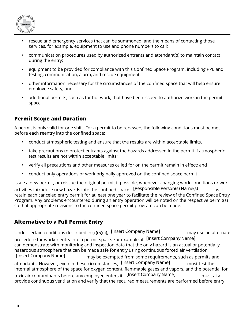<span id="page-13-0"></span>

- rescue and emergency services that can be summoned, and the means of contacting those services, for example, equipment to use and phone numbers to call;
- communication procedures used by authorized entrants and attendant(s) to maintain contact during the entry;
- equipment to be provided for compliance with this Confined Space Program, including PPE and testing, communication, alarm, and rescue equipment;
- other information necessary for the circumstances of the confined space that will help ensure employee safety; and
- additional permits, such as for hot work, that have been issued to authorize work in the permit space.

### **Permit Scope and Duration**

A permit is only valid for one shift. For a permit to be renewed, the following conditions must be met before each reentry into the confined space:

- conduct atmospheric testing and ensure that the results are within acceptable limits.
- take precautions to protect entrants against the hazards addressed in the permit if atmospheric test results are not within acceptable limits;
- verify all precautions and other measures called for on the permit remain in effect; and
- conduct only operations or work originally approved on the confined space permit.

Issue a new permit, or reissue the original permit if possible, whenever changing work conditions or work activities introduce new hazards into the confined space. [Responsible Person(s) Name(s) will retain each canceled entry permit for at least one year to facilitate the review of the Confined Space Entry Program. Any problems encountered during an entry operation will be noted on the respective permit(s) so that appropriate revisions to the confined space permit program can be made.

#### **Alternative to a Full Permit Entry**

Under certain conditions described in (c)(5)(ii), <sup>[Insert Company Name]</sup> may use an alternate procedure for worker entry into a permit space. For example, if [Insert Company Name] can demonstrate with monitoring and inspection data that the only hazard is an actual or potentially hazardous atmosphere that can be made safe for entry using continuous forced air ventilation, may be exempted from some requirements, such as permits and attendants. However, even in these circumstances, Insert Company Namel must test the internal atmosphere of the space for oxygen content, flammable gases and vapors, and the potential for toxic air contaminants before any employee enters it. Insert Company Name] https://www.falso provide continuous ventilation and verify that the required measurements are performed before entry. [Insert Company Name]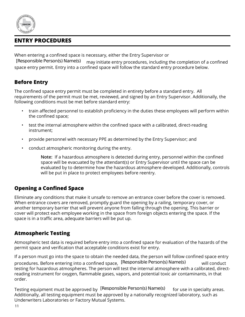<span id="page-14-0"></span>

# **ENTRY PROCEDURES**

When entering a confined space is necessary, either the Entry Supervisor or

may initiate entry procedures, including the completion of a confined space entry permit. Entry into a confined space will follow the standard entry procedure below. [Responsible Person(s) Name(s)

## **Before Entry**

The confined space entry permit must be completed in entirety before a standard entry. All requirements of the permit must be met, reviewed, and signed by an Entry Supervisor. Additionally, the following conditions must be met before standard entry:

- train affected personnel to establish proficiency in the duties these employees will perform within the confined space;
- test the internal atmosphere within the confined space with a calibrated, direct-reading instrument;
- provide personnel with necessary PPE as determined by the Entry Supervisor; and
- conduct atmospheric monitoring during the entry.

**Note:** If a hazardous atmosphere is detected during entry, personnel within the confined space will be evacuated by the attendant(s) or Entry Supervisor until the space can be evaluated by to determine how the hazardous atmosphere developed. Additionally, controls will be put in place to protect employees before reentry.

#### **Opening a Confined Space**

Eliminate any conditions that make it unsafe to remove an entrance cover before the cover is removed. When entrance covers are removed, promptly guard the opening by a railing, temporary cover, or another temporary barrier that will prevent anyone from falling through the opening. This barrier or cover will protect each employee working in the space from foreign objects entering the space. If the space is in a traffic area, adequate barriers will be put up.

#### **Atmospheric Testing**

Atmospheric test data is required before entry into a confined space for evaluation of the hazards of the permit space and verification that acceptable conditions exist for entry.

If a person must go into the space to obtain the needed data, the person will follow confined space entry procedures. Before entering into a confined space, [Responsible Person(s) Name(s) will conduct testing for hazardous atmospheres. The person will test the internal atmosphere with a calibrated, directreading instrument for oxygen, flammable gases, vapors, and potential toxic air contaminants, in that order.

Testing equipment must be approved by [Responsible Person(s) Name(s) for use in specialty areas. Additionally, all testing equipment must be approved by a nationally recognized laboratory, such as Underwriters Laboratories or Factory Mutual Systems.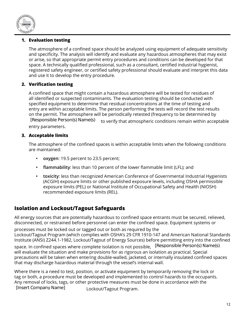<span id="page-15-0"></span>

#### **1. Evaluation testing**

The atmosphere of a confined space should be analyzed using equipment of adequate sensitivity and specificity. The analysis will identify and evaluate any hazardous atmospheres that may exist or arise, so that appropriate permit entry procedures and conditions can be developed for that space. A technically qualified professional, such as a consultant, certified industrial hygienist, registered safety engineer, or certified safety professional should evaluate and interpret this data and use it to develop the entry procedure.

#### **2. Verification testing**

 to verify that atmospheric conditions remain within acceptable A confined space that might contain a hazardous atmosphere will be tested for residues of all identified or suspected contaminants. The evaluation testing should be conducted with specified equipment to determine that residual concentrations at the time of testing and entry are within acceptable limits. The person performing the tests will record the test results on the permit. The atmosphere will be periodically retested (frequency to be determined by entry parameters. [Responsible Person(s) Name(s)

#### **3. Acceptable limits**

The atmosphere of the confined spaces is within acceptable limits when the following conditions are maintained:

- **oxygen**: 19.5 percent to 23.5 percent;
- **flammability**: less than 10 percent of the lower flammable limit (LFL); and
- **toxicity**: less than recognized American Conference of Governmental Industrial Hygienists (ACGIH) exposure limits or other published exposure levels, including OSHA permissible exposure limits (PEL) or National Institute of Occupational Safety and Health (NIOSH) recommended exposure limits (REL).

#### **Isolation and Lockout/Tagout Safeguards**

All energy sources that are potentially hazardous to confined space entrants must be secured, relieved, disconnected, or restrained before personnel can enter the confined space. Equipment systems or

processes must be locked out or tagged out or both as required by the Lockout/Tagout Program (which complies with OSHA's 29 CFR 1910-147 and American National Standards Institute (ANSI) Z244.1-1982, Lockout/Tagout of Energy Sources) before permitting entry into the confined

space. In confined spaces where complete isolation is not possible, [Responsible Person(s) Name(s) will evaluate the situation and make provisions for as rigorous an isolation as practical. Special precautions will be taken when entering double-walled, jacketed, or internally insulated confined spaces that may discharge hazardous material through the vessel's internal wall.

 Lockout/Tagout Program. Where there is a need to test, position, or activate equipment by temporarily removing the lock or tag or both, a procedure must be developed and implemented to control hazards to the occupants. Any removal of locks, tags, or other protective measures must be done in accordance with the [Insert Company Name]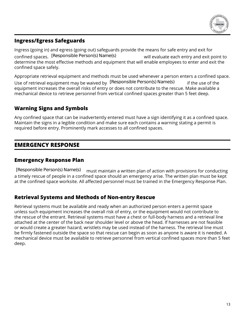

## <span id="page-16-0"></span>**Ingress/Egress Safeguards**

Ingress (going in) and egress (going out) safeguards provide the means for safe entry and exit for confined spaces. [Responsible Person(s) Name(s) will evaluate each entry and exit point to determine the most effective methods and equipment that will enable employees to enter and exit the confined space safely.

Appropriate retrieval equipment and methods must be used whenever a person enters a confined space. Use of retrieval equipment may be waived by [Responsible Person(s) Name(s) if the use of the equipment increases the overall risks of entry or does not contribute to the rescue. Make available a mechanical device to retrieve personnel from vertical confined spaces greater than 5 feet deep.

# **Warning Signs and Symbols**

Any confined space that can be inadvertently entered must have a sign identifying it as a confined space. Maintain the signs in a legible condition and make sure each contains a warning stating a permit is required before entry. Prominently mark accesses to all confined spaces.

# **EMERGENCY RESPONSE**

#### **Emergency Response Plan**

 must maintain a written plan of action with provisions for conducting a timely rescue of people in a confined space should an emergency arise. The written plan must be kept at the confined space worksite. All affected personnel must be trained in the Emergency Response Plan. [Responsible Person(s) Name(s)

#### **Retrieval Systems and Methods of Non-entry Rescue**

Retrieval systems must be available and ready when an authorized person enters a permit space unless such equipment increases the overall risk of entry, or the equipment would not contribute to the rescue of the entrant. Retrieval systems must have a chest or full-body harness and a retrieval line attached at the center of the back near shoulder level or above the head. If harnesses are not feasible or would create a greater hazard, wristlets may be used instead of the harness. The retrieval line must be firmly fastened outside the space so that rescue can begin as soon as anyone is aware it is needed. A mechanical device must be available to retrieve personnel from vertical confined spaces more than 5 feet deep.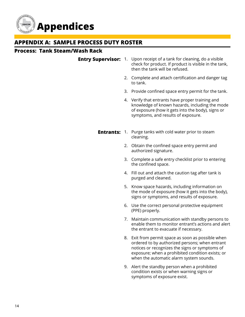<span id="page-17-0"></span>

# **APPENDIX A: SAMPLE PROCESS DUTY ROSTER**

#### **Process: Tank Steam/Wash Rack**

- **Entry Supervisor:** 1. Upon receipt of a tank for cleaning, do a visible check for product. If product is visible in the tank, then the tank will be refused.
	- 2. Complete and attach certification and danger tag to tank.
	- 3. Provide confined space entry permit for the tank.
	- 4. Verify that entrants have proper training and knowledge of known hazards, including the mode of exposure (how it gets into the body), signs or symptoms, and results of exposure.
	- **Entrants:** 1. Purge tanks with cold water prior to steam cleaning.
		- 2. Obtain the confined space entry permit and authorized signature.
		- 3. Complete a safe entry checklist prior to entering the confined space.
		- 4. Fill out and attach the caution tag after tank is purged and cleaned.
		- 5. Know space hazards, including information on the mode of exposure (how it gets into the body), signs or symptoms, and results of exposure.
		- 6. Use the correct personal protective equipment (PPE) properly.
		- 7. Maintain communication with standby persons to enable them to monitor entrant's actions and alert the entrant to evacuate if necessary.
		- 8. Exit from permit space as soon as possible when ordered to by authorized persons; when entrant notices or recognizes the signs or symptoms of exposure; when a prohibited condition exists; or when the automatic alarm system sounds.
		- 9. Alert the standby person when a prohibited condition exists or when warning signs or symptoms of exposure exist.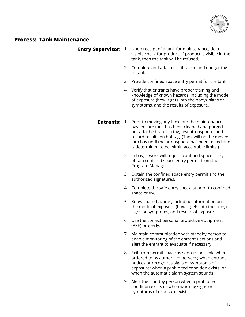

#### **Process: Tank Maintenance**

- **Entry Supervisor:** 1. Upon receipt of a tank for maintenance, do a visible check for product. If product is visible in the tank, then the tank will be refused.
	- 2. Complete and attach certification and danger tag to tank.
	- 3. Provide confined space entry permit for the tank.
	- 4. Verify that entrants have proper training and knowledge of known hazards, including the mode of exposure (how it gets into the body), signs or symptoms, and the results of exposure.
	- **Entrants:** 1. Prior to moving any tank into the maintenance bay, ensure tank has been cleaned and purged per attached caution tag, test atmosphere, and record results on hot tag. (Tank will not be moved into bay until the atmosphere has been tested and is determined to be within acceptable limits.)
		- 2. In bay, if work will require confined space entry, obtain confined space entry permit from the Program Manager.
		- 3. Obtain the confined space entry permit and the authorized signatures.
		- 4. Complete the safe entry checklist prior to confined space entry.
		- 5. Know space hazards, including information on the mode of exposure (how it gets into the body), signs or symptoms, and results of exposure.
		- 6. Use the correct personal protective equipment (PPE) properly.
		- 7. Maintain communication with standby person to enable monitoring of the entrant's actions and alert the entrant to evacuate if necessary.
		- 8. Exit from permit space as soon as possible when ordered to by authorized persons; when entrant notices or recognizes signs or symptoms of exposure; when a prohibited condition exists; or when the automatic alarm system sounds.
		- 9. Alert the standby person when a prohibited condition exists or when warning signs or symptoms of exposure exist.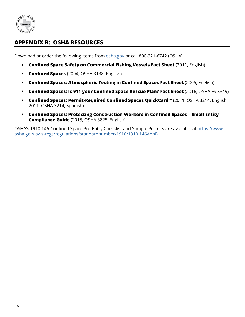<span id="page-19-0"></span>

# **APPENDIX B: OSHA RESOURCES**

Download or order the following items from **osha.gov** or call 800-321-6742 (OSHA).

- **• Confined Space Safety on Commercial Fishing Vessels Fact Sheet** (2011, English)
- **• Confined Spaces** (2004, OSHA 3138, English)
- **• Confined Spaces: Atmospheric Testing in Confined Spaces Fact Sheet** (2005, English)
- **• Confined Spaces: Is 911 your Confined Space Rescue Plan? Fact Sheet** (2016, OSHA FS 3849)
- **• Confined Spaces: Permit-Required Confined Spaces QuickCard™** (2011, OSHA 3214, English; 2011, OSHA 3214, Spanish)
- **• Confined Spaces: Protecting Construction Workers in Confined Spaces Small Entity Compliance Guide** (2015, OSHA 3825, English)

OSHA's 1910.146-Confined Space Pre-Entry Checklist and Sample Permits are available at [https://www.](https://www.osha.gov/laws-regs/regulations/standardnumber/1910/1910.146AppD) [osha.gov/laws-regs/regulations/standardnumber/1910/1910.146AppD](https://www.osha.gov/laws-regs/regulations/standardnumber/1910/1910.146AppD)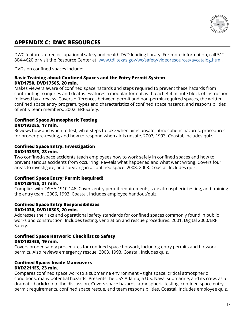

# <span id="page-20-0"></span>**APPENDIX C: DWC RESOURCES**

DWC features a free occupational safety and health DVD lending library. For more information, call 512- 804-4620 or visit the Resource Center at [www.tdi.texas.gov/wc/safety/videoresources/avcatalog.html.](http://www.tdi.texas.gov/wc/safety/videoresources/avcatalog.html)

DVDs on confined spaces include:

#### **Basic Training about Confined Spaces and the Entry Permit System DVD1750, DVD1750S, 20 min.**

Makes viewers aware of confined space hazards and steps required to prevent these hazards from contributing to injuries and deaths. Features a modular format, with each 3-4 minute block of instruction followed by a review. Covers differences between permit and non-permit-required spaces, the written confined space entry program, types and characteristics of confined space hazards, and responsibilities of entry team members. 2002. ERI-Safety.

#### **Confined Space Atmospheric Testing DVD1932ES, 17 min.**

Reviews how and when to test, what steps to take when air is unsafe, atmospheric hazards, procedures for proper pre-testing, and how to respond when air is unsafe. 2007, 1993. Coastal. Includes quiz.

#### **Confined Space Entry: Investigation DVD1933ES, 23 min.**

Two confined-space accidents teach employees how to work safely in confined spaces and how to prevent serious accidents from occurring. Reveals what happened and what went wrong. Covers four areas to investigate, and surviving in a confined space. 2008, 2003. Coastal. Includes quiz.

#### **Confined Space Entry: Permit Required! DVD1291ES, 21 min.**

Complies with OSHA 1910.146. Covers entry permit requirements, safe atmospheric testing, and training the entry team. 2006, 1993. Coastal. Includes employee handout/quiz.

#### **Confined Space Entry Responsibilities DVD1030, DVD1030S, 20 min.**

Addresses the risks and operational safety standards for confined spaces commonly found in public works and construction. Includes testing, ventilation and rescue procedures. 2001. Digital 2000/ERI-Safety.

#### **Confined Space Hotwork: Checklist to Safety DVD1934ES, 19 min.**

Covers proper safety procedures for confined space hotwork, including entry permits and hotwork permits. Also reviews emergency rescue. 2008, 1993. Coastal. Includes quiz.

#### **Confined Space: Inside Maneuvers DVD2211ES, 23 min.**

Compares confined space work to a submarine environment – tight space, critical atmospheric conditions, many potential hazards. Presents the USS Atlanta, a U.S. Naval submarine, and its crew, as a dramatic backdrop to the discussion. Covers space hazards, atmospheric testing, confined space entry permit requirements, confined space rescue, and team responsibilities. Coastal. Includes employee quiz.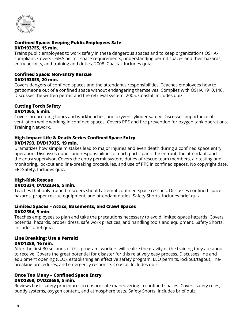

#### **Confined Space: Keeping Public Employees Safe DVD1937ES, 15 min.**

Trains public employees to work safely in these dangerous spaces and to keep organizations OSHAcompliant. Covers OSHA permit space requirements, understanding permit spaces and their hazards, entry permits, and training and duties. 2008. Coastal. Includes quiz.

#### **Confined Space: Non-Entry Rescue DVD1938ES, 20 min.**

Covers dangers of confined spaces and the attendant's responsibilities. Teaches employees how to get someone out of a confined space without endangering themselves. Complies with OSHA 1910.146. Discusses the written permit and the retrieval system. 2005. Coastal. Includes quiz.

#### **Cutting Torch Safety DVD1065, 6 min.**

Covers fireproofing floors and workbenches, and oxygen cylinder safety. Discusses importance of ventilation while working in confined spaces. Covers PPE and fire prevention for oxygen tank operations. Training Network.

#### **High-Impact Life & Death Series Confined Space Entry DVD1793, DVD1793S, 19 min.**

Dramatizes how simple mistakes lead to major injuries and even death during a confined space entry operation. Discusses duties and responsibilities of each participant: the entrant, the attendant, and the entry supervisor. Covers the entry permit system, duties of rescue team members, air testing and monitoring, lockout and line-breaking procedures, and use of PPE in confined spaces. No copyright date. ERI-Safety. Includes quiz.

#### **High-Risk Rescue DVD2334, DVD2334S, 5 min.**

Teaches that only trained rescuers should attempt confined-space rescues. Discusses confined-space hazards, proper rescue equipment, and attendant duties. Safety Shorts. Includes brief quiz.

#### **Limited Spaces – Attics, Basements, and Crawl Spaces DVD2354, 5 min.**

Teaches employees to plan and take the precautions necessary to avoid limited-space hazards. Covers potential hazards, proper dress, safe work practices, and handling tools and equipment. Safety Shorts. Includes brief quiz.

#### **Line Breaking: Use a Permit! DVD1289, 16 min.**

After the first 30 seconds of this program, workers will realize the gravity of the training they are about to receive. Covers the great potential for disaster for this relatively easy process. Discusses line and equipment opening (LEO), establishing an effective safety program, LEO permits, lockout/tagout, linebreaking procedures, and emergency response. Coastal. Includes quiz.

#### **Once Too Many – Confined Space Entry DVD2368, DVD2368S, 5 min.**

Reviews basic safety procedures to ensure safe maneuvering in confined spaces. Covers safety rules, buddy systems, oxygen content, and atmosphere tests. Safety Shorts. Includes brief quiz.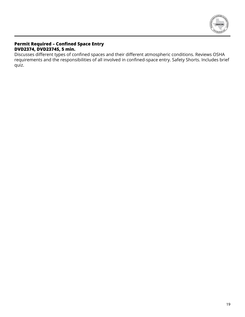

#### **Permit Required – Confined Space Entry DVD2374, DVD2374S, 5 min.**

Discusses different types of confined spaces and their different atmospheric conditions. Reviews OSHA requirements and the responsibilities of all involved in confined-space entry. Safety Shorts. Includes brief quiz.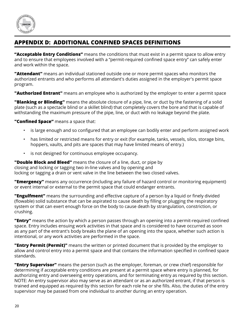<span id="page-23-0"></span>

# **APPENDIX D: ADDITIONAL CONFINED SPACES DEFINITIONS**

**"Acceptable Entry Conditions"** means the conditions that must exist in a permit space to allow entry and to ensure that employees involved with a "permit-required confined space entry" can safely enter and work within the space.

**"Attendant"** means an individual stationed outside one or more permit spaces who monitors the authorized entrants and who performs all attendant's duties assigned in the employer's permit space program.

**"Authorized Entrant"** means an employee who is authorized by the employer to enter a permit space

**"Blanking or Blinding"** means the absolute closure of a pipe, line, or duct by the fastening of a solid plate (such as a spectacle blind or a skillet blind) that completely covers the bore and that is capable of withstanding the maximum pressure of the pipe, line, or duct with no leakage beyond the plate.

#### **"Confined Space"** means a space that:

- is large enough and so configured that an employee can bodily enter and perform assigned work
- has limited or restricted means for entry or exit (for example, tanks, vessels, silos, storage bins, hoppers, vaults, and pits are spaces that may have limited means of entry.)
- is not designed for continuous employee occupancy.

**"Double Block and Bleed"** means the closure of a line, duct, or pipe by closing and locking or tagging two in-line valves and by opening and locking or tagging a drain or vent valve in the line between the two closed valves.

**"Emergency"** means any occurrence (including any failure of hazard control or monitoring equipment) or event internal or external to the permit space that could endanger entrants.

**"Engulfment"** means the surrounding and effective capture of a person by a liquid or finely divided (flowable) solid substance that can be aspirated to cause death by filling or plugging the respiratory system or that can exert enough force on the body to cause death by strangulation, constriction, or crushing.

**"Entry"** means the action by which a person passes through an opening into a permit-required confined space. Entry includes ensuing work activities in that space and is considered to have occurred as soon as any part of the entrant's body breaks the plane of an opening into the space, whether such action is intentional, or any work activities are performed in the space.

**"Entry Permit (Permit)"** means the written or printed document that is provided by the employer to allow and control entry into a permit space and that contains the information specified in confined space standards.

**"Entry Supervisor"** means the person (such as the employer, foreman, or crew chief) responsible for determining if acceptable entry conditions are present at a permit space where entry is planned, for authorizing entry and overseeing entry operations, and for terminating entry as required by this section. NOTE: An entry supervisor also may serve as an attendant or as an authorized entrant, if that person is trained and equipped as required by this section for each role he or she fills. Also, the duties of the entry supervisor may be passed from one individual to another during an entry operation.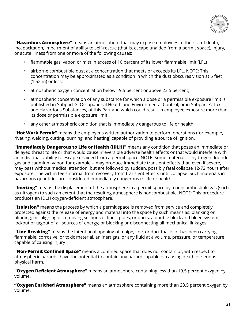

**"Hazardous Atmosphere"** means an atmosphere that may expose employees to the risk of death, incapacitation, impairment of ability to self-rescue (that is, escape unaided from a permit space), injury, or acute illness from one or more of the following causes:

- flammable gas, vapor, or mist in excess of 10 percent of its lower flammable limit (LFL)
- airborne combustible dust at a concentration that meets or exceeds its LFL. NOTE: This concentration may be approximated as a condition in which the dust obscures vision at 5 feet (1.52 m) or less;
- atmospheric oxygen concentration below 19.5 percent or above 23.5 percent;
- atmospheric concentration of any substance for which a dose or a permissible exposure limit is published in Subpart G, Occupational Health and Environmental Control, or in Subpart Z, Toxic and Hazardous Substances, of this Part and which could result in employee exposure more than its dose or permissible exposure limit
- any other atmospheric condition that is immediately dangerous to life or health.

**"Hot Work Permit"** means the employer's written authorization to perform operations (for example, riveting, welding, cutting, burning, and heating) capable of providing a source of ignition.

**"Immediately Dangerous to Life or Health (IDLH)"** means any condition that poses an immediate or delayed threat to life or that would cause irreversible adverse health effects or that would interfere with an individual's ability to escape unaided from a permit space. NOTE: Some materials -- hydrogen fluoride gas and cadmium vapor, for example -- may produce immediate transient effects that, even if severe, may pass without medical attention, but are followed by sudden, possibly fatal collapse 12-72 hours after exposure. The victim feels normal from recovery from transient effects until collapse. Such materials in hazardous quantities are considered immediately dangerous to life or health.

**"Inerting"** means the displacement of the atmosphere in a permit space by a noncombustible gas (such as nitrogen) to such an extent that the resulting atmosphere is noncombustible. NOTE: This procedure produces an IDLH oxygen-deficient atmosphere.

**"Isolation"** means the process by which a permit space is removed from service and completely protected against the release of energy and material into the space by such means as: blanking or blinding; misaligning or removing sections of lines, pipes, or ducts; a double block and bleed system; lockout or tagout of all sources of energy; or blocking or disconnecting all mechanical linkages.

**"Line Breaking"** means the intentional opening of a pipe, line, or duct that is or has been carrying flammable, corrosive, or toxic material, an inert gas, or any fluid at a volume, pressure, or temperature capable of causing injury

**"Non-Permit Confined Space"** means a confined space that does not contain or, with respect to atmospheric hazards, have the potential to contain any hazard capable of causing death or serious physical harm.

**"Oxygen Deficient Atmosphere"** means an atmosphere containing less than 19.5 percent oxygen by volume.

**"Oxygen Enriched Atmosphere"** means an atmosphere containing more than 23.5 percent oxygen by volume.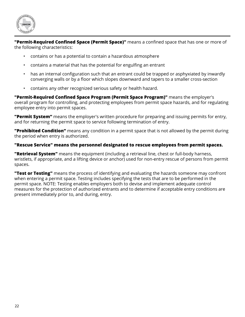

**"Permit-Required Confined Space (Permit Space)"** means a confined space that has one or more of the following characteristics:

- contains or has a potential to contain a hazardous atmosphere
- contains a material that has the potential for engulfing an entrant
- has an internal configuration such that an entrant could be trapped or asphyxiated by inwardly converging walls or by a floor which slopes downward and tapers to a smaller cross-section
- contains any other recognized serious safety or health hazard.

**"Permit-Required Confined Space Program (Permit Space Program)"** means the employer's overall program for controlling, and protecting employees from permit space hazards, and for regulating employee entry into permit spaces.

**"Permit System"** means the employer's written procedure for preparing and issuing permits for entry, and for returning the permit space to service following termination of entry.

**"Prohibited Condition"** means any condition in a permit space that is not allowed by the permit during the period when entry is authorized.

#### **"Rescue Service" means the personnel designated to rescue employees from permit spaces.**

**"Retrieval System"** means the equipment (including a retrieval line, chest or full-body harness, wristlets, if appropriate, and a lifting device or anchor) used for non-entry rescue of persons from permit spaces.

**"Test or Testing"** means the process of identifying and evaluating the hazards someone may confront when entering a permit space. Testing includes specifying the tests that are to be performed in the permit space. NOTE: Testing enables employers both to devise and implement adequate control measures for the protection of authorized entrants and to determine if acceptable entry conditions are present immediately prior to, and during, entry.